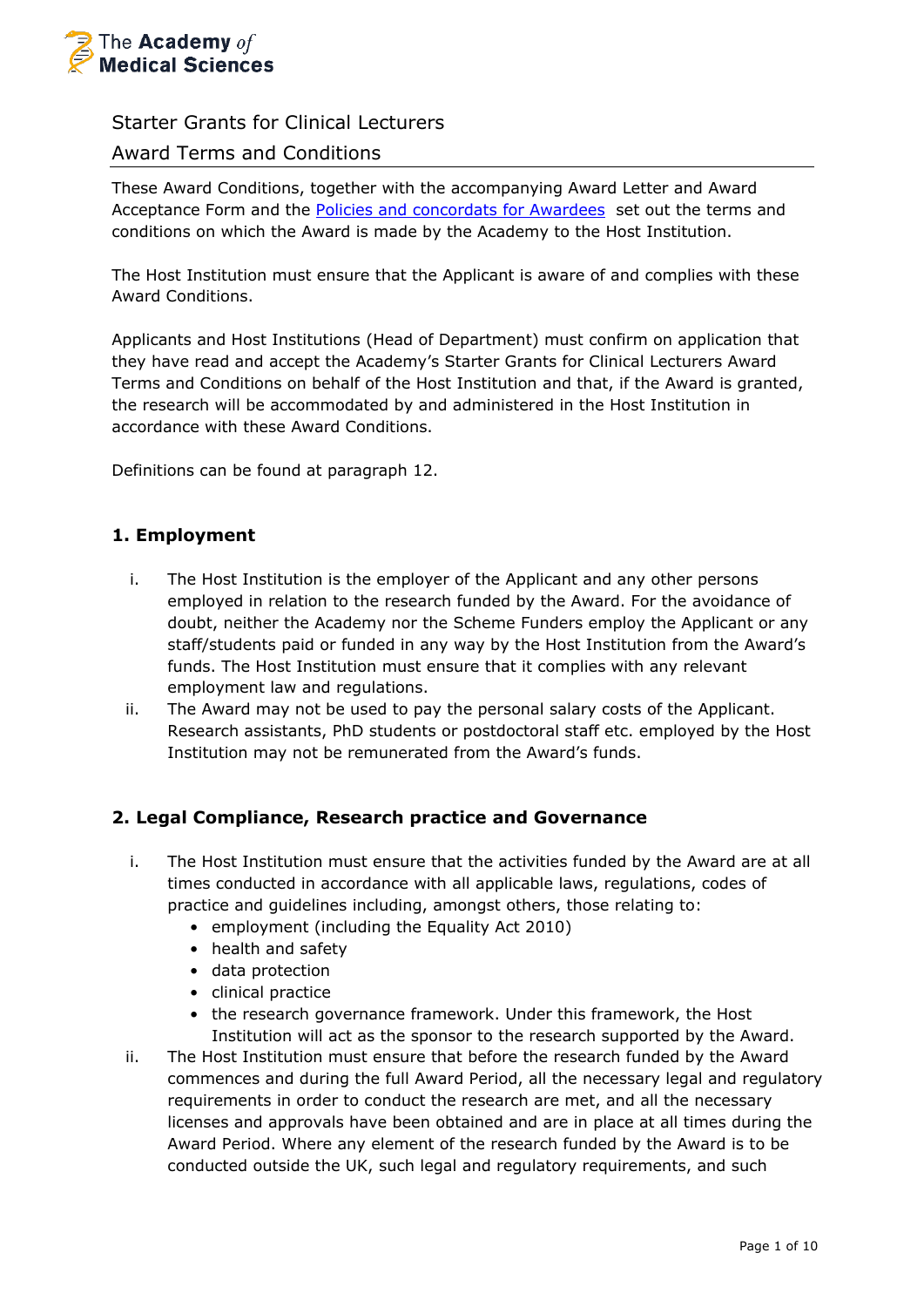

# Starter Grants for Clinical Lecturers

# Award Terms and Conditions

These Award Conditions, together with the accompanying Award Letter and Award Acceptance Form and the [Policies and concordats for Awardees](https://acmedsci.ac.uk/grants-and-schemes/grant-schemes/information-for-awardees/policies-and-concordats-for-awardees) set out the terms and conditions on which the Award is made by the Academy to the Host Institution.

The Host Institution must ensure that the Applicant is aware of and complies with these Award Conditions.

Applicants and Host Institutions (Head of Department) must confirm on application that they have read and accept the Academy's Starter Grants for Clinical Lecturers Award Terms and Conditions on behalf of the Host Institution and that, if the Award is granted, the research will be accommodated by and administered in the Host Institution in accordance with these Award Conditions.

Definitions can be found at paragraph 12.

## **1. Employment**

- i. The Host Institution is the employer of the Applicant and any other persons employed in relation to the research funded by the Award. For the avoidance of doubt, neither the Academy nor the Scheme Funders employ the Applicant or any staff/students paid or funded in any way by the Host Institution from the Award's funds. The Host Institution must ensure that it complies with any relevant employment law and regulations.
- ii. The Award may not be used to pay the personal salary costs of the Applicant. Research assistants, PhD students or postdoctoral staff etc. employed by the Host Institution may not be remunerated from the Award's funds.

## **2. Legal Compliance, Research practice and Governance**

- i. The Host Institution must ensure that the activities funded by the Award are at all times conducted in accordance with all applicable laws, regulations, codes of practice and guidelines including, amongst others, those relating to:
	- employment (including the Equality Act 2010)
	- health and safety
	- data protection
	- clinical practice
	- the research governance framework. Under this framework, the Host Institution will act as the sponsor to the research supported by the Award.
- ii. The Host Institution must ensure that before the research funded by the Award commences and during the full Award Period, all the necessary legal and regulatory requirements in order to conduct the research are met, and all the necessary licenses and approvals have been obtained and are in place at all times during the Award Period. Where any element of the research funded by the Award is to be conducted outside the UK, such legal and regulatory requirements, and such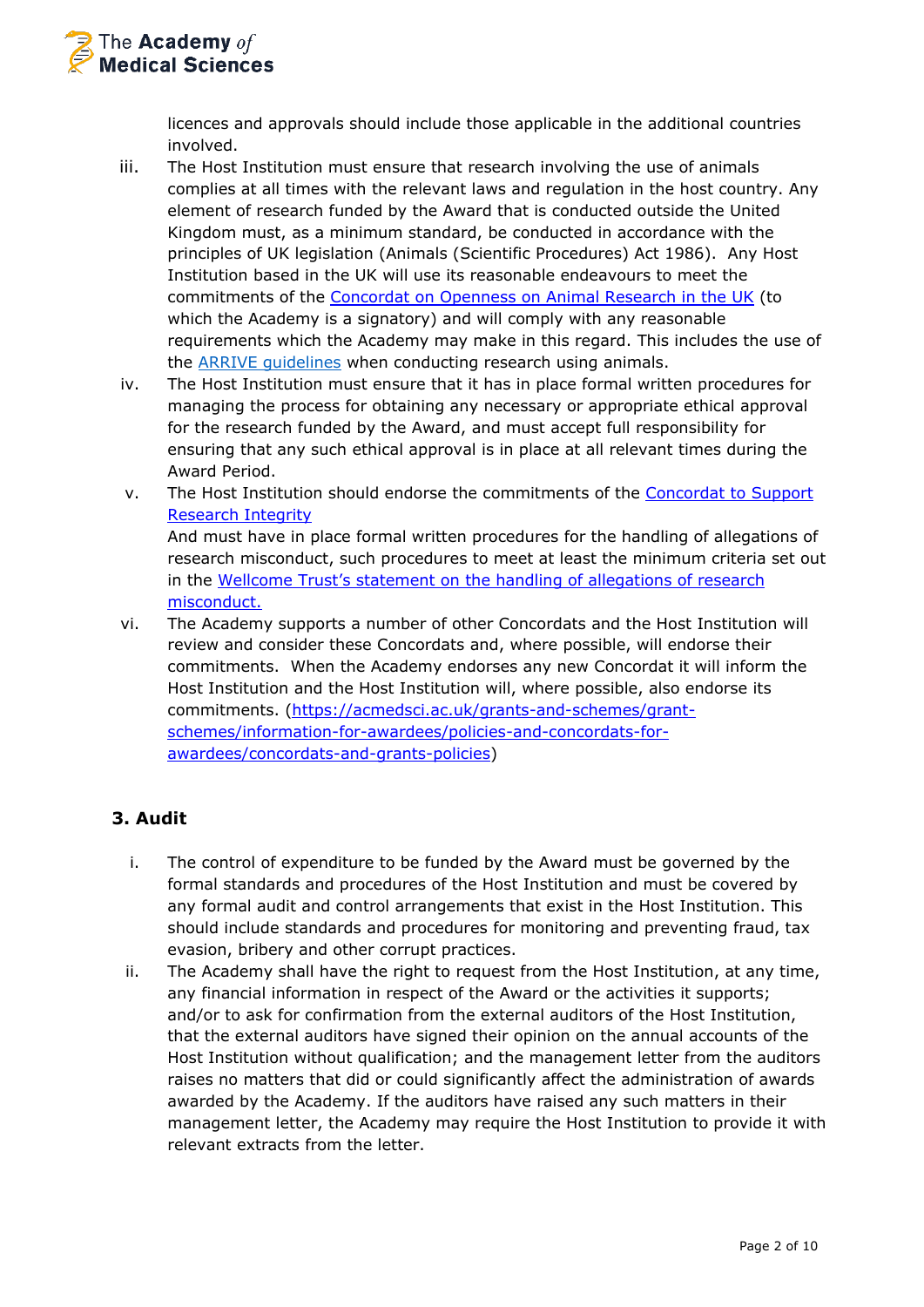

licences and approvals should include those applicable in the additional countries involved.

- iii. The Host Institution must ensure that research involving the use of animals complies at all times with the relevant laws and regulation in the host country. Any element of research funded by the Award that is conducted outside the United Kingdom must, as a minimum standard, be conducted in accordance with the principles of UK legislation (Animals (Scientific Procedures) Act 1986). Any Host Institution based in the UK will use its reasonable endeavours to meet the commitments of the [Concordat on Openness on Animal Research in the UK](https://acmedsci.ac.uk/policy/policy-projects/the-concordat-on-openness-on-animal-research) (to which the Academy is a signatory) and will comply with any reasonable requirements which the Academy may make in this regard. This includes the use of the [ARRIVE guidelines](https://arriveguidelines.org/) when conducting research using animals.
- iv. The Host Institution must ensure that it has in place formal written procedures for managing the process for obtaining any necessary or appropriate ethical approval for the research funded by the Award, and must accept full responsibility for ensuring that any such ethical approval is in place at all relevant times during the Award Period.
- v. The Host Institution should endorse the commitments of the [Concordat to Support](https://www.universitiesuk.ac.uk/policy-and-analysis/reports/Documents/2019/the-concordat-to-support-research-integrity.pdf)  [Research Integrity](https://www.universitiesuk.ac.uk/policy-and-analysis/reports/Documents/2019/the-concordat-to-support-research-integrity.pdf) And must have in place formal written procedures for the handling of allegations of research misconduct, such procedures to meet at least the minimum criteria set out in the [Wellcome Trust's statement on the handling of allegations of research](http://www.wellcome.ac.uk/About-us/Policy/Policy-and-position-statements/WTD002756.htm)

[misconduct.](http://www.wellcome.ac.uk/About-us/Policy/Policy-and-position-statements/WTD002756.htm)

vi. The Academy supports a number of other Concordats and the Host Institution will review and consider these Concordats and, where possible, will endorse their commitments. When the Academy endorses any new Concordat it will inform the Host Institution and the Host Institution will, where possible, also endorse its commitments. [\(https://acmedsci.ac.uk/grants-and-schemes/grant](https://acmedsci.ac.uk/grants-and-schemes/grant-schemes/information-for-awardees/policies-and-concordats-for-awardees/concordats-and-grants-policies)[schemes/information-for-awardees/policies-and-concordats-for](https://acmedsci.ac.uk/grants-and-schemes/grant-schemes/information-for-awardees/policies-and-concordats-for-awardees/concordats-and-grants-policies)[awardees/concordats-and-grants-policies\)](https://acmedsci.ac.uk/grants-and-schemes/grant-schemes/information-for-awardees/policies-and-concordats-for-awardees/concordats-and-grants-policies)

# **3. Audit**

- i. The control of expenditure to be funded by the Award must be governed by the formal standards and procedures of the Host Institution and must be covered by any formal audit and control arrangements that exist in the Host Institution. This should include standards and procedures for monitoring and preventing fraud, tax evasion, bribery and other corrupt practices.
- ii. The Academy shall have the right to request from the Host Institution, at any time, any financial information in respect of the Award or the activities it supports; and/or to ask for confirmation from the external auditors of the Host Institution, that the external auditors have signed their opinion on the annual accounts of the Host Institution without qualification; and the management letter from the auditors raises no matters that did or could significantly affect the administration of awards awarded by the Academy. If the auditors have raised any such matters in their management letter, the Academy may require the Host Institution to provide it with relevant extracts from the letter.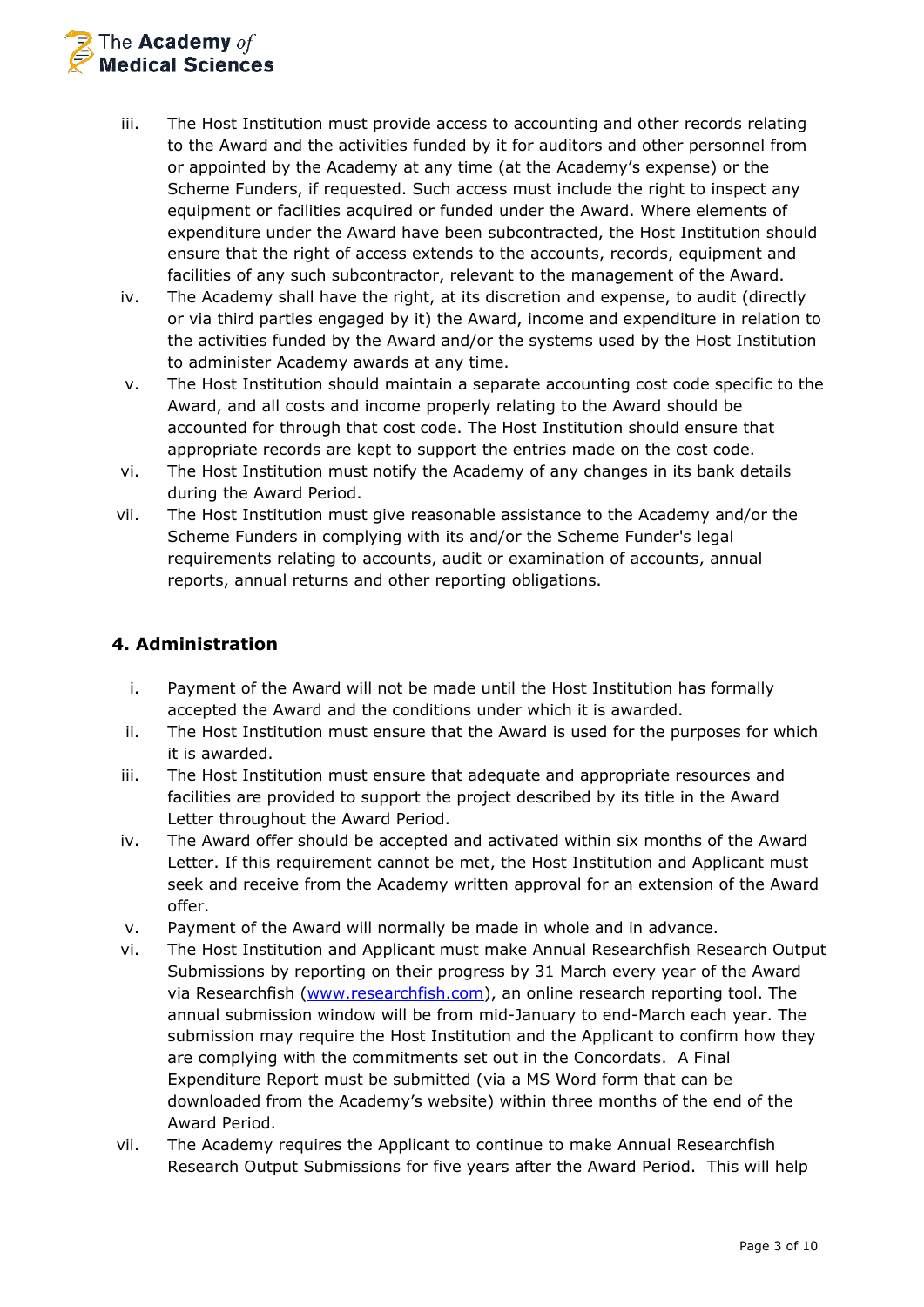

- iii. The Host Institution must provide access to accounting and other records relating to the Award and the activities funded by it for auditors and other personnel from or appointed by the Academy at any time (at the Academy's expense) or the Scheme Funders, if requested. Such access must include the right to inspect any equipment or facilities acquired or funded under the Award. Where elements of expenditure under the Award have been subcontracted, the Host Institution should ensure that the right of access extends to the accounts, records, equipment and facilities of any such subcontractor, relevant to the management of the Award.
- iv. The Academy shall have the right, at its discretion and expense, to audit (directly or via third parties engaged by it) the Award, income and expenditure in relation to the activities funded by the Award and/or the systems used by the Host Institution to administer Academy awards at any time.
- v. The Host Institution should maintain a separate accounting cost code specific to the Award, and all costs and income properly relating to the Award should be accounted for through that cost code. The Host Institution should ensure that appropriate records are kept to support the entries made on the cost code.
- vi. The Host Institution must notify the Academy of any changes in its bank details during the Award Period.
- vii. The Host Institution must give reasonable assistance to the Academy and/or the Scheme Funders in complying with its and/or the Scheme Funder's legal requirements relating to accounts, audit or examination of accounts, annual reports, annual returns and other reporting obligations.

## **4. Administration**

- i. Payment of the Award will not be made until the Host Institution has formally accepted the Award and the conditions under which it is awarded.
- ii. The Host Institution must ensure that the Award is used for the purposes for which it is awarded.
- iii. The Host Institution must ensure that adequate and appropriate resources and facilities are provided to support the project described by its title in the Award Letter throughout the Award Period.
- iv. The Award offer should be accepted and activated within six months of the Award Letter. If this requirement cannot be met, the Host Institution and Applicant must seek and receive from the Academy written approval for an extension of the Award offer.
- v. Payment of the Award will normally be made in whole and in advance.
- vi. The Host Institution and Applicant must make Annual Researchfish Research Output Submissions by reporting on their progress by 31 March every year of the Award via Researchfish [\(www.researchfish.com\)](http://www.researchfish.com/), an online research reporting tool. The annual submission window will be from mid-January to end-March each year. The submission may require the Host Institution and the Applicant to confirm how they are complying with the commitments set out in the Concordats. A Final Expenditure Report must be submitted (via a MS Word form that can be downloaded from the Academy's website) within three months of the end of the Award Period.
- vii. The Academy requires the Applicant to continue to make Annual Researchfish Research Output Submissions for five years after the Award Period. This will help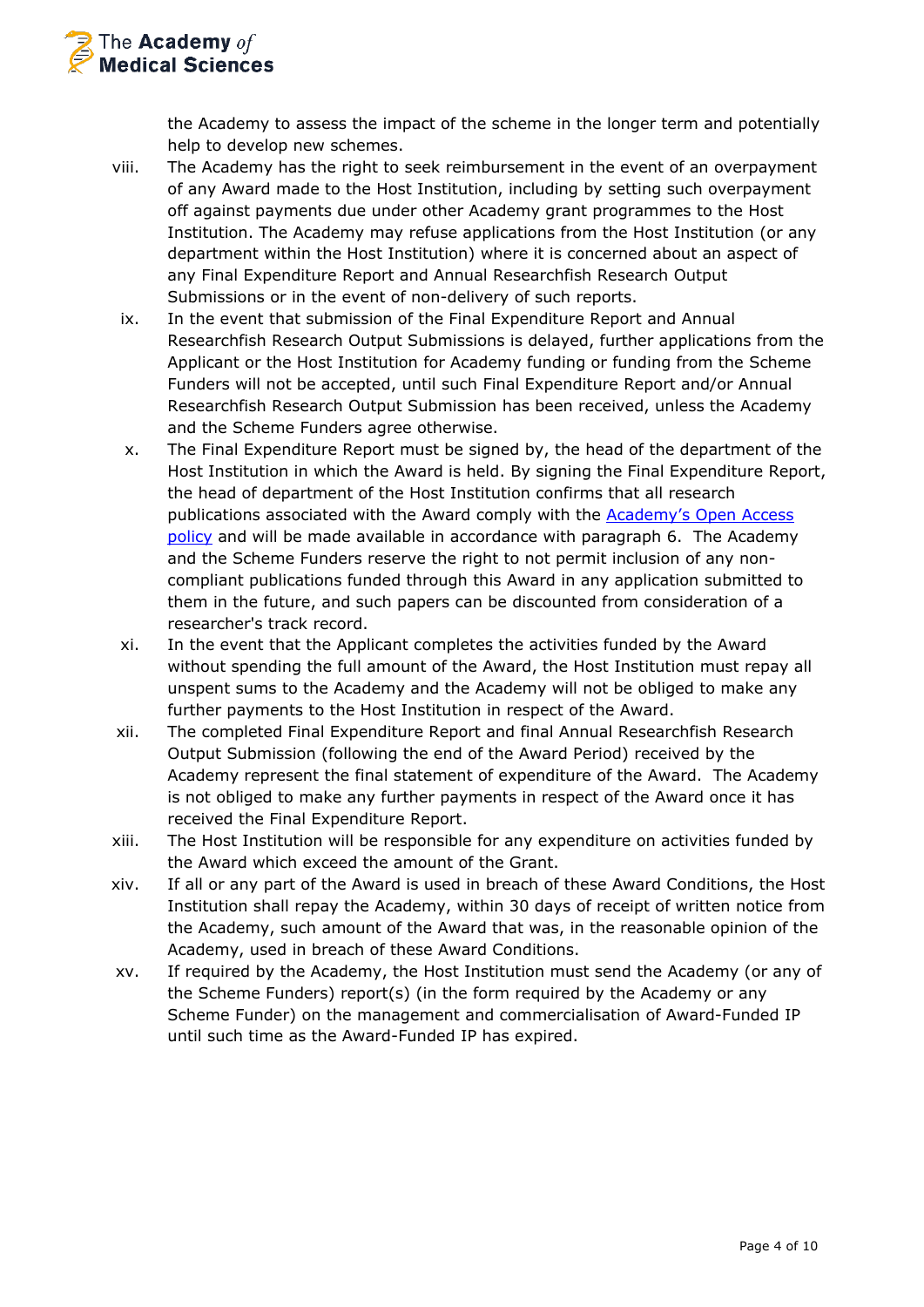

the Academy to assess the impact of the scheme in the longer term and potentially help to develop new schemes.

- viii. The Academy has the right to seek reimbursement in the event of an overpayment of any Award made to the Host Institution, including by setting such overpayment off against payments due under other Academy grant programmes to the Host Institution. The Academy may refuse applications from the Host Institution (or any department within the Host Institution) where it is concerned about an aspect of any Final Expenditure Report and Annual Researchfish Research Output Submissions or in the event of non-delivery of such reports.
- ix. In the event that submission of the Final Expenditure Report and Annual Researchfish Research Output Submissions is delayed, further applications from the Applicant or the Host Institution for Academy funding or funding from the Scheme Funders will not be accepted, until such Final Expenditure Report and/or Annual Researchfish Research Output Submission has been received, unless the Academy and the Scheme Funders agree otherwise.
- x. The Final Expenditure Report must be signed by, the head of the department of the Host Institution in which the Award is held. By signing the Final Expenditure Report, the head of department of the Host Institution confirms that all research publications associated with the Award comply with the Academy's [Open Access](https://acmedsci.ac.uk/grants-and-schemes/grant-schemes/information-for-awardees/policies-and-concordats-for-awardees)  [policy](https://acmedsci.ac.uk/grants-and-schemes/grant-schemes/information-for-awardees/policies-and-concordats-for-awardees) and will be made available in accordance with paragraph 6. The Academy and the Scheme Funders reserve the right to not permit inclusion of any noncompliant publications funded through this Award in any application submitted to them in the future, and such papers can be discounted from consideration of a researcher's track record.
- xi. In the event that the Applicant completes the activities funded by the Award without spending the full amount of the Award, the Host Institution must repay all unspent sums to the Academy and the Academy will not be obliged to make any further payments to the Host Institution in respect of the Award.
- xii. The completed Final Expenditure Report and final Annual Researchfish Research Output Submission (following the end of the Award Period) received by the Academy represent the final statement of expenditure of the Award. The Academy is not obliged to make any further payments in respect of the Award once it has received the Final Expenditure Report.
- xiii. The Host Institution will be responsible for any expenditure on activities funded by the Award which exceed the amount of the Grant.
- xiv. If all or any part of the Award is used in breach of these Award Conditions, the Host Institution shall repay the Academy, within 30 days of receipt of written notice from the Academy, such amount of the Award that was, in the reasonable opinion of the Academy, used in breach of these Award Conditions.
- xv. If required by the Academy, the Host Institution must send the Academy (or any of the Scheme Funders) report(s) (in the form required by the Academy or any Scheme Funder) on the management and commercialisation of Award-Funded IP until such time as the Award-Funded IP has expired.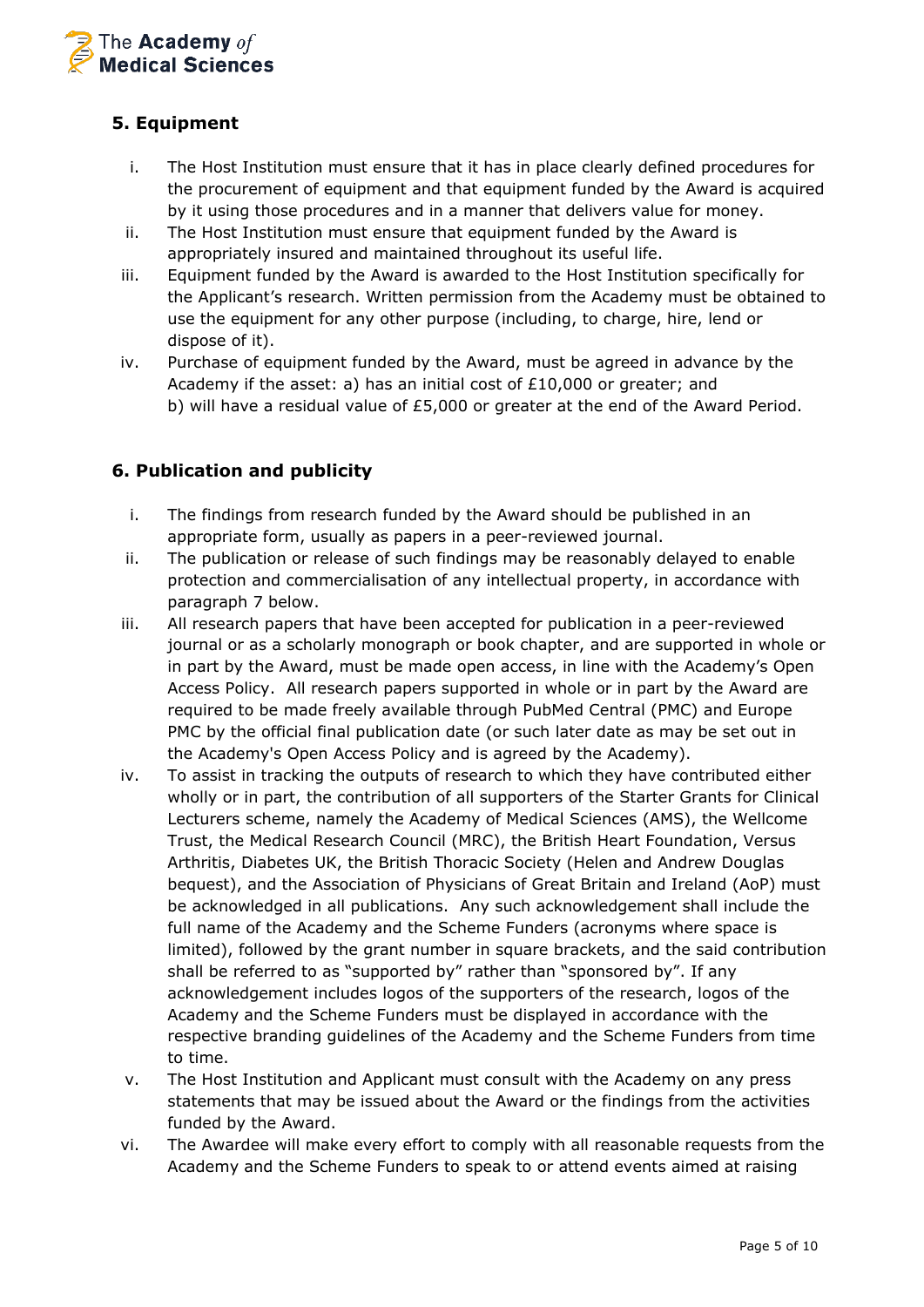

# **5. Equipment**

- i. The Host Institution must ensure that it has in place clearly defined procedures for the procurement of equipment and that equipment funded by the Award is acquired by it using those procedures and in a manner that delivers value for money.
- ii. The Host Institution must ensure that equipment funded by the Award is appropriately insured and maintained throughout its useful life.
- iii. Equipment funded by the Award is awarded to the Host Institution specifically for the Applicant's research. Written permission from the Academy must be obtained to use the equipment for any other purpose (including, to charge, hire, lend or dispose of it).
- iv. Purchase of equipment funded by the Award, must be agreed in advance by the Academy if the asset: a) has an initial cost of £10,000 or greater; and b) will have a residual value of £5,000 or greater at the end of the Award Period.

# **6. Publication and publicity**

- i. The findings from research funded by the Award should be published in an appropriate form, usually as papers in a peer-reviewed journal.
- ii. The publication or release of such findings may be reasonably delayed to enable protection and commercialisation of any intellectual property, in accordance with paragraph 7 below.
- iii. All research papers that have been accepted for publication in a peer-reviewed journal or as a scholarly monograph or book chapter, and are supported in whole or in part by the Award, must be made open access, in line with the Academy's Open Access Policy. All research papers supported in whole or in part by the Award are required to be made freely available through PubMed Central (PMC) and Europe PMC by the official final publication date (or such later date as may be set out in the Academy's Open Access Policy and is agreed by the Academy).
- iv. To assist in tracking the outputs of research to which they have contributed either wholly or in part, the contribution of all supporters of the Starter Grants for Clinical Lecturers scheme, namely the Academy of Medical Sciences (AMS), the Wellcome Trust, the Medical Research Council (MRC), the British Heart Foundation, Versus Arthritis, Diabetes UK, the British Thoracic Society (Helen and Andrew Douglas bequest), and the Association of Physicians of Great Britain and Ireland (AoP) must be acknowledged in all publications. Any such acknowledgement shall include the full name of the Academy and the Scheme Funders (acronyms where space is limited), followed by the grant number in square brackets, and the said contribution shall be referred to as "supported by" rather than "sponsored by". If any acknowledgement includes logos of the supporters of the research, logos of the Academy and the Scheme Funders must be displayed in accordance with the respective branding guidelines of the Academy and the Scheme Funders from time to time.
- v. The Host Institution and Applicant must consult with the Academy on any press statements that may be issued about the Award or the findings from the activities funded by the Award.
- vi. The Awardee will make every effort to comply with all reasonable requests from the Academy and the Scheme Funders to speak to or attend events aimed at raising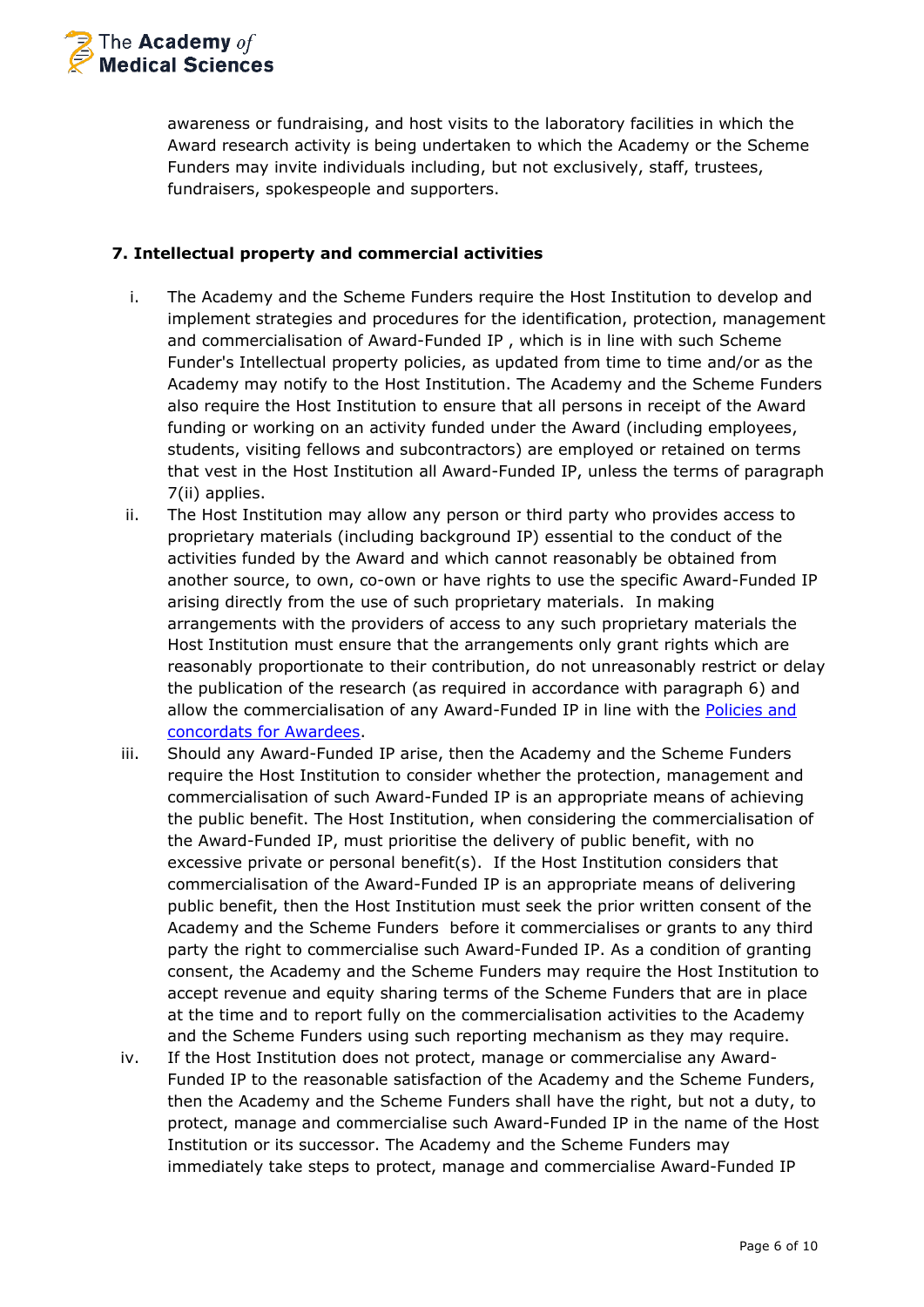

awareness or fundraising, and host visits to the laboratory facilities in which the Award research activity is being undertaken to which the Academy or the Scheme Funders may invite individuals including, but not exclusively, staff, trustees, fundraisers, spokespeople and supporters.

### **7. Intellectual property and commercial activities**

- i. The Academy and the Scheme Funders require the Host Institution to develop and implement strategies and procedures for the identification, protection, management and commercialisation of Award-Funded IP , which is in line with such Scheme Funder's Intellectual property policies, as updated from time to time and/or as the Academy may notify to the Host Institution. The Academy and the Scheme Funders also require the Host Institution to ensure that all persons in receipt of the Award funding or working on an activity funded under the Award (including employees, students, visiting fellows and subcontractors) are employed or retained on terms that vest in the Host Institution all Award-Funded IP, unless the terms of paragraph 7(ii) applies.
- ii. The Host Institution may allow any person or third party who provides access to proprietary materials (including background IP) essential to the conduct of the activities funded by the Award and which cannot reasonably be obtained from another source, to own, co-own or have rights to use the specific Award-Funded IP arising directly from the use of such proprietary materials. In making arrangements with the providers of access to any such proprietary materials the Host Institution must ensure that the arrangements only grant rights which are reasonably proportionate to their contribution, do not unreasonably restrict or delay the publication of the research (as required in accordance with paragraph 6) and allow the commercialisation of any Award-Funded IP in line with the [Policies and](https://acmedsci.ac.uk/grants-and-schemes/grant-schemes/information-for-awardees/policies-and-concordats-for-awardees) [concordats for Awardees.](https://acmedsci.ac.uk/grants-and-schemes/grant-schemes/information-for-awardees/policies-and-concordats-for-awardees)
- iii. Should any Award-Funded IP arise, then the Academy and the Scheme Funders require the Host Institution to consider whether the protection, management and commercialisation of such Award-Funded IP is an appropriate means of achieving the public benefit. The Host Institution, when considering the commercialisation of the Award-Funded IP, must prioritise the delivery of public benefit, with no excessive private or personal benefit(s). If the Host Institution considers that commercialisation of the Award-Funded IP is an appropriate means of delivering public benefit, then the Host Institution must seek the prior written consent of the Academy and the Scheme Funders before it commercialises or grants to any third party the right to commercialise such Award-Funded IP. As a condition of granting consent, the Academy and the Scheme Funders may require the Host Institution to accept revenue and equity sharing terms of the Scheme Funders that are in place at the time and to report fully on the commercialisation activities to the Academy and the Scheme Funders using such reporting mechanism as they may require.
- iv. If the Host Institution does not protect, manage or commercialise any Award-Funded IP to the reasonable satisfaction of the Academy and the Scheme Funders, then the Academy and the Scheme Funders shall have the right, but not a duty, to protect, manage and commercialise such Award-Funded IP in the name of the Host Institution or its successor. The Academy and the Scheme Funders may immediately take steps to protect, manage and commercialise Award-Funded IP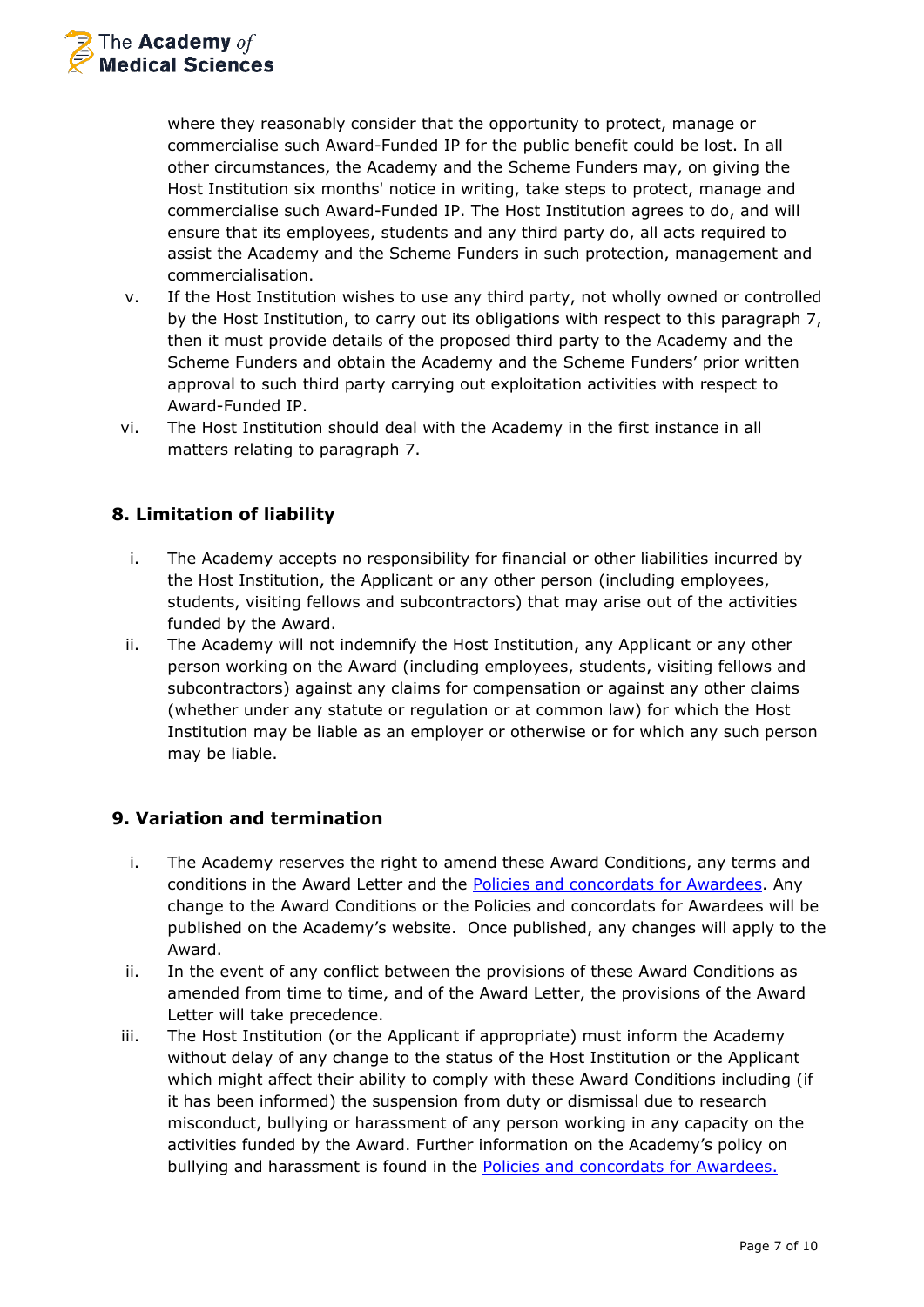

where they reasonably consider that the opportunity to protect, manage or commercialise such Award-Funded IP for the public benefit could be lost. In all other circumstances, the Academy and the Scheme Funders may, on giving the Host Institution six months' notice in writing, take steps to protect, manage and commercialise such Award-Funded IP. The Host Institution agrees to do, and will ensure that its employees, students and any third party do, all acts required to assist the Academy and the Scheme Funders in such protection, management and commercialisation.

- v. If the Host Institution wishes to use any third party, not wholly owned or controlled by the Host Institution, to carry out its obligations with respect to this paragraph 7, then it must provide details of the proposed third party to the Academy and the Scheme Funders and obtain the Academy and the Scheme Funders' prior written approval to such third party carrying out exploitation activities with respect to Award-Funded IP.
- vi. The Host Institution should deal with the Academy in the first instance in all matters relating to paragraph 7.

# **8. Limitation of liability**

- i. The Academy accepts no responsibility for financial or other liabilities incurred by the Host Institution, the Applicant or any other person (including employees, students, visiting fellows and subcontractors) that may arise out of the activities funded by the Award.
- ii. The Academy will not indemnify the Host Institution, any Applicant or any other person working on the Award (including employees, students, visiting fellows and subcontractors) against any claims for compensation or against any other claims (whether under any statute or regulation or at common law) for which the Host Institution may be liable as an employer or otherwise or for which any such person may be liable.

# **9. Variation and termination**

- i. The Academy reserves the right to amend these Award Conditions, any terms and conditions in the Award Letter and the [Policies and concordats for Awardees.](https://acmedsci.ac.uk/grants-and-schemes/grant-schemes/information-for-awardees/policies-and-concordats-for-awardees) Any change to the Award Conditions or the Policies and concordats for Awardees will be published on the Academy's website. Once published, any changes will apply to the Award.
- ii. In the event of any conflict between the provisions of these Award Conditions as amended from time to time, and of the Award Letter, the provisions of the Award Letter will take precedence.
- iii. The Host Institution (or the Applicant if appropriate) must inform the Academy without delay of any change to the status of the Host Institution or the Applicant which might affect their ability to comply with these Award Conditions including (if it has been informed) the suspension from duty or dismissal due to research misconduct, bullying or harassment of any person working in any capacity on the activities funded by the Award. Further information on the Academy's policy on bullying and harassment is found in the [Policies and concordats for Awardees.](https://acmedsci.ac.uk/grants-and-schemes/grant-schemes/information-for-awardees/policies-and-concordats-for-awardees)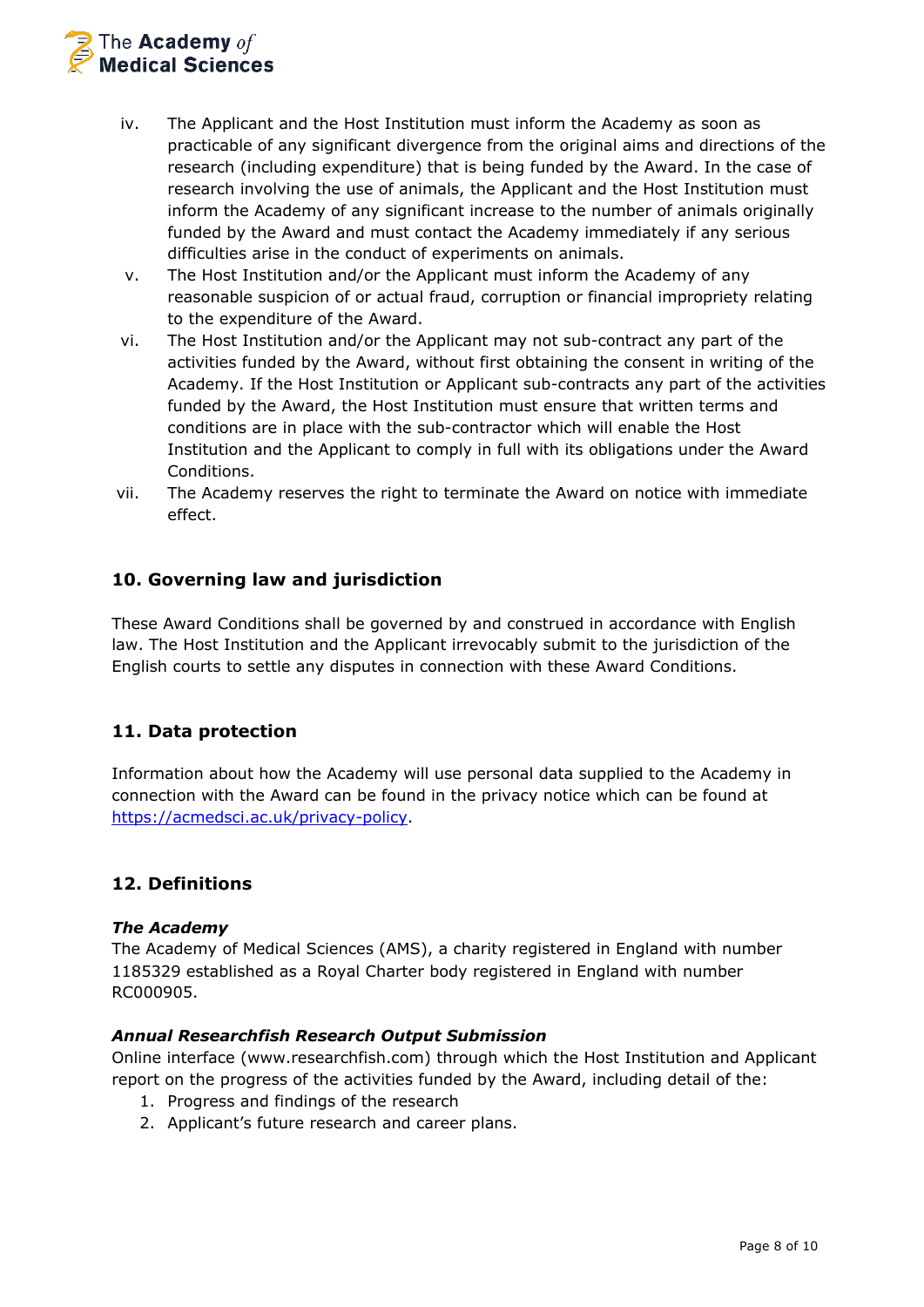

- iv. The Applicant and the Host Institution must inform the Academy as soon as practicable of any significant divergence from the original aims and directions of the research (including expenditure) that is being funded by the Award. In the case of research involving the use of animals, the Applicant and the Host Institution must inform the Academy of any significant increase to the number of animals originally funded by the Award and must contact the Academy immediately if any serious difficulties arise in the conduct of experiments on animals.
- v. The Host Institution and/or the Applicant must inform the Academy of any reasonable suspicion of or actual fraud, corruption or financial impropriety relating to the expenditure of the Award.
- vi. The Host Institution and/or the Applicant may not sub-contract any part of the activities funded by the Award, without first obtaining the consent in writing of the Academy. If the Host Institution or Applicant sub-contracts any part of the activities funded by the Award, the Host Institution must ensure that written terms and conditions are in place with the sub-contractor which will enable the Host Institution and the Applicant to comply in full with its obligations under the Award Conditions.
- vii. The Academy reserves the right to terminate the Award on notice with immediate effect.

## **10. Governing law and jurisdiction**

These Award Conditions shall be governed by and construed in accordance with English law. The Host Institution and the Applicant irrevocably submit to the jurisdiction of the English courts to settle any disputes in connection with these Award Conditions.

## **11. Data protection**

Information about how the Academy will use personal data supplied to the Academy in connection with the Award can be found in the privacy notice which can be found at [https://acmedsci.ac.uk/privacy-policy.](https://acmedsci.ac.uk/privacy-policy)

## **12. Definitions**

#### *The Academy*

The Academy of Medical Sciences (AMS), a charity registered in England with number 1185329 established as a Royal Charter body registered in England with number RC000905.

#### *Annual Researchfish Research Output Submission*

Online interface (www.researchfish.com) through which the Host Institution and Applicant report on the progress of the activities funded by the Award, including detail of the:

- 1. Progress and findings of the research
- 2. Applicant's future research and career plans.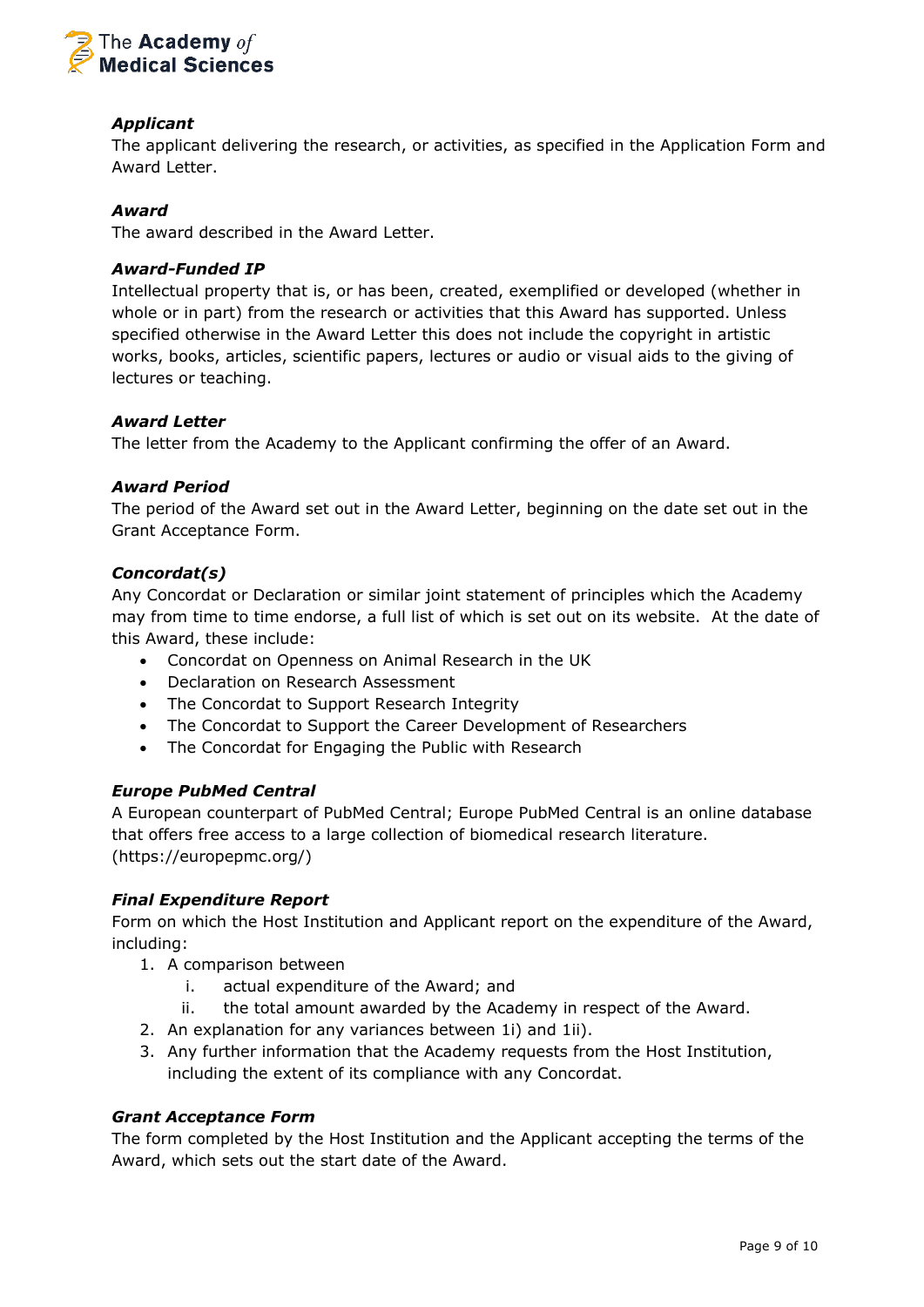

## *Applicant*

The applicant delivering the research, or activities, as specified in the Application Form and Award Letter.

#### *Award*

The award described in the Award Letter.

#### *Award-Funded IP*

Intellectual property that is, or has been, created, exemplified or developed (whether in whole or in part) from the research or activities that this Award has supported. Unless specified otherwise in the Award Letter this does not include the copyright in artistic works, books, articles, scientific papers, lectures or audio or visual aids to the giving of lectures or teaching.

#### *Award Letter*

The letter from the Academy to the Applicant confirming the offer of an Award.

#### *Award Period*

The period of the Award set out in the Award Letter, beginning on the date set out in the Grant Acceptance Form.

#### *Concordat(s)*

Any Concordat or Declaration or similar joint statement of principles which the Academy may from time to time endorse, a full list of which is set out on its website. At the date of this Award, these include:

- Concordat on Openness on Animal Research in the UK
- Declaration on Research Assessment
- The Concordat to Support Research Integrity
- The Concordat to Support the Career Development of Researchers
- The Concordat for Engaging the Public with Research

#### *Europe PubMed Central*

A European counterpart of PubMed Central; Europe PubMed Central is an online database that offers free access to a large collection of biomedical research literature. (https://europepmc.org/)

#### *Final Expenditure Report*

Form on which the Host Institution and Applicant report on the expenditure of the Award, including:

- 1. A comparison between
	- i. actual expenditure of the Award; and
	- ii. the total amount awarded by the Academy in respect of the Award.
- 2. An explanation for any variances between 1i) and 1ii).
- 3. Any further information that the Academy requests from the Host Institution, including the extent of its compliance with any Concordat.

#### *Grant Acceptance Form*

The form completed by the Host Institution and the Applicant accepting the terms of the Award, which sets out the start date of the Award.